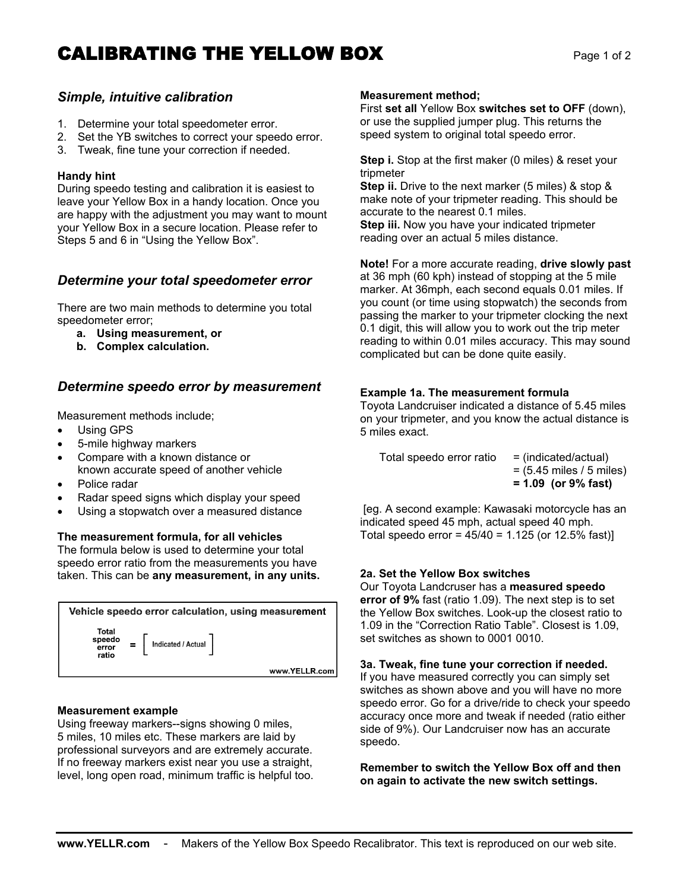# **CALIBRATING THE YELLOW BOX** Page 1 of 2

## *Simple, intuitive calibration*

- 1. Determine your total speedometer error.
- 2. Set the YB switches to correct your speedo error.
- 3. Tweak, fine tune your correction if needed.

#### **Handy hint**

During speedo testing and calibration it is easiest to leave your Yellow Box in a handy location. Once you are happy with the adjustment you may want to mount your Yellow Box in a secure location. Please refer to Steps 5 and 6 in "Using the Yellow Box".

## *Determine your total speedometer error*

There are two main methods to determine you total speedometer error;

- **a. Using measurement, or**
- **b. Complex calculation.**

### *Determine speedo error by measurement*

Measurement methods include;

- Using GPS
- 5-mile highway markers
- Compare with a known distance or known accurate speed of another vehicle
- Police radar
- Radar speed signs which display your speed
- Using a stopwatch over a measured distance

#### **The measurement formula, for all vehicles**

The formula below is used to determine your total speedo error ratio from the measurements you have taken. This can be **any measurement, in any units.**



#### **Measurement example**

Using freeway markers--signs showing 0 miles, 5 miles, 10 miles etc. These markers are laid by professional surveyors and are extremely accurate. If no freeway markers exist near you use a straight, level, long open road, minimum traffic is helpful too.

#### **Measurement method;**

First **set all** Yellow Box **switches set to OFF** (down), or use the supplied jumper plug. This returns the speed system to original total speedo error.

**Step i.** Stop at the first maker (0 miles) & reset your tripmeter

**Step ii.** Drive to the next marker (5 miles) & stop & make note of your tripmeter reading. This should be accurate to the nearest 0.1 miles.

**Step iii.** Now you have your indicated tripmeter reading over an actual 5 miles distance.

**Note!** For a more accurate reading, **drive slowly past** at 36 mph (60 kph) instead of stopping at the 5 mile marker. At 36mph, each second equals 0.01 miles. If you count (or time using stopwatch) the seconds from passing the marker to your tripmeter clocking the next 0.1 digit, this will allow you to work out the trip meter reading to within 0.01 miles accuracy. This may sound complicated but can be done quite easily.

#### **Example 1a. The measurement formula**

Toyota Landcruiser indicated a distance of 5.45 miles on your tripmeter, and you know the actual distance is 5 miles exact.

Total speedo error ratio  $=$  (indicated/actual) = (5.45 miles / 5 miles) **= 1.09 (or 9% fast)**

 [eg. A second example: Kawasaki motorcycle has an indicated speed 45 mph, actual speed 40 mph. Total speedo error =  $45/40 = 1.125$  (or 12.5% fast)]

#### **2a. Set the Yellow Box switches**

Our Toyota Landcruser has a **measured speedo error of 9%** fast (ratio 1.09). The next step is to set the Yellow Box switches. Look-up the closest ratio to 1.09 in the "Correction Ratio Table". Closest is 1.09, set switches as shown to 0001 0010.

#### **3a. Tweak, fine tune your correction if needed.**

If you have measured correctly you can simply set switches as shown above and you will have no more speedo error. Go for a drive/ride to check your speedo accuracy once more and tweak if needed (ratio either side of 9%). Our Landcruiser now has an accurate speedo.

**Remember to switch the Yellow Box off and then on again to activate the new switch settings.**